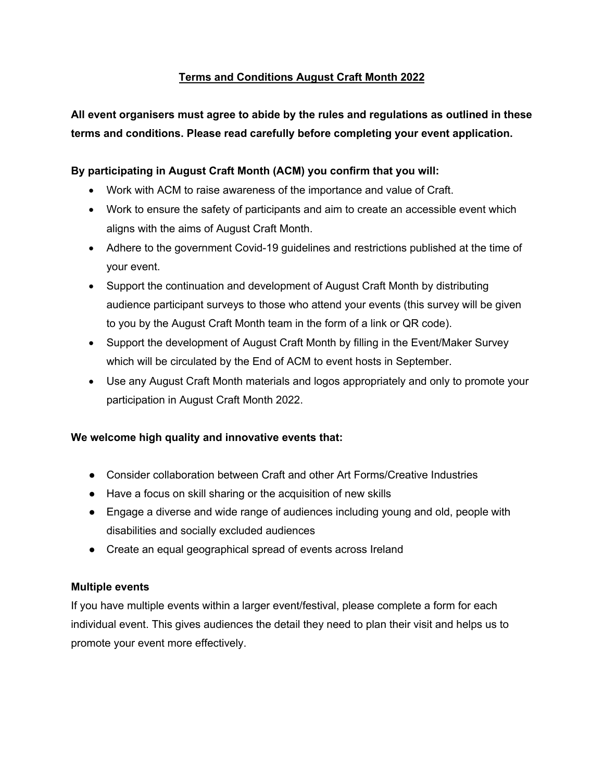# **Terms and Conditions August Craft Month 2022**

**All event organisers must agree to abide by the rules and regulations as outlined in these terms and conditions. Please read carefully before completing your event application.**

# **By participating in August Craft Month (ACM) you confirm that you will:**

- Work with ACM to raise awareness of the importance and value of Craft.
- Work to ensure the safety of participants and aim to create an accessible event which aligns with the aims of August Craft Month.
- Adhere to the government Covid-19 guidelines and restrictions published at the time of your event.
- Support the continuation and development of August Craft Month by distributing audience participant surveys to those who attend your events (this survey will be given to you by the August Craft Month team in the form of a link or QR code).
- Support the development of August Craft Month by filling in the Event/Maker Survey which will be circulated by the End of ACM to event hosts in September.
- Use any August Craft Month materials and logos appropriately and only to promote your participation in August Craft Month 2022.

## **We welcome high quality and innovative events that:**

- Consider collaboration between Craft and other Art Forms/Creative Industries
- Have a focus on skill sharing or the acquisition of new skills
- Engage a diverse and wide range of audiences including young and old, people with disabilities and socially excluded audiences
- Create an equal geographical spread of events across Ireland

## **Multiple events**

If you have multiple events within a larger event/festival, please complete a form for each individual event. This gives audiences the detail they need to plan their visit and helps us to promote your event more effectively.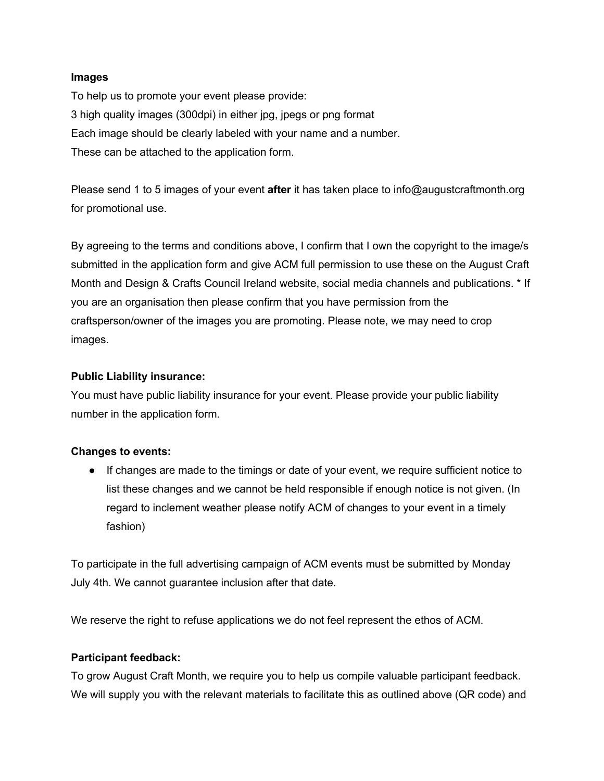#### **Images**

To help us to promote your event please provide: 3 high quality images (300dpi) in either jpg, jpegs or png format Each image should be clearly labeled with your name and a number. These can be attached to the application form.

Please send 1 to 5 images of your event **after** it has taken place to info@augustcraftmonth.org for promotional use.

By agreeing to the terms and conditions above, I confirm that I own the copyright to the image/s submitted in the application form and give ACM full permission to use these on the August Craft Month and Design & Crafts Council Ireland website, social media channels and publications. \* If you are an organisation then please confirm that you have permission from the craftsperson/owner of the images you are promoting. Please note, we may need to crop images.

## **Public Liability insurance:**

You must have public liability insurance for your event. Please provide your public liability number in the application form.

## **Changes to events:**

● If changes are made to the timings or date of your event, we require sufficient notice to list these changes and we cannot be held responsible if enough notice is not given. (In regard to inclement weather please notify ACM of changes to your event in a timely fashion)

To participate in the full advertising campaign of ACM events must be submitted by Monday July 4th. We cannot guarantee inclusion after that date.

We reserve the right to refuse applications we do not feel represent the ethos of ACM.

## **Participant feedback:**

To grow August Craft Month, we require you to help us compile valuable participant feedback. We will supply you with the relevant materials to facilitate this as outlined above (QR code) and